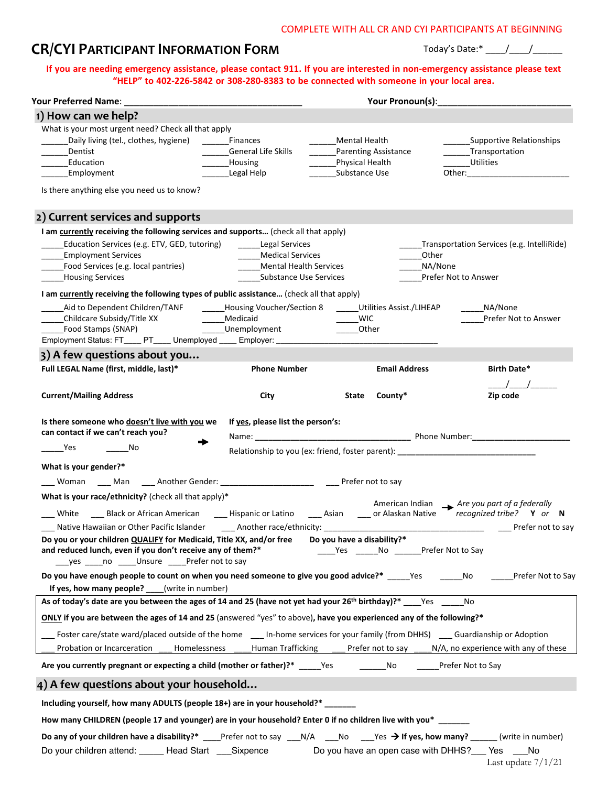#### COMPLETE WITH ALL CR AND CYI PARTICIPANTS AT BEGINNING

# **CR/CYI PARTICIPANT INFORMATION FORM**

Today's Date:\* \_\_\_\_/\_\_\_\_/\_\_\_\_\_\_

### **If you are needing emergency assistance, please contact 911. If you are interested in non-emergency assistance please text "HELP" to 402-226-5842 or 308-280-8383 to be connected with someone in your local area.**

| Your Preferred Name: _                                                                                                              |                                                                  | Your Pronoun(s): New Your Pronoun(s): |                                             |                                                                                  |  |
|-------------------------------------------------------------------------------------------------------------------------------------|------------------------------------------------------------------|---------------------------------------|---------------------------------------------|----------------------------------------------------------------------------------|--|
| 1) How can we help?                                                                                                                 |                                                                  |                                       |                                             |                                                                                  |  |
| What is your most urgent need? Check all that apply                                                                                 |                                                                  |                                       |                                             |                                                                                  |  |
| Daily living (tel., clothes, hygiene)                                                                                               | Finances                                                         | <b>Mental Health</b>                  |                                             | <b>Supportive Relationships</b>                                                  |  |
| Dentist                                                                                                                             | <b>General Life Skills</b>                                       |                                       | Parenting Assistance                        | _______Transportation                                                            |  |
| Education                                                                                                                           | Housing                                                          | Physical Health                       |                                             | Utilities                                                                        |  |
| Employment                                                                                                                          | Legal Help                                                       | Substance Use                         |                                             | Other:                                                                           |  |
| Is there anything else you need us to know?                                                                                         |                                                                  |                                       |                                             |                                                                                  |  |
| 2) Current services and supports                                                                                                    |                                                                  |                                       |                                             |                                                                                  |  |
| I am currently receiving the following services and supports (check all that apply)                                                 |                                                                  |                                       |                                             |                                                                                  |  |
| Education Services (e.g. ETV, GED, tutoring)                                                                                        | <b>Legal Services</b>                                            |                                       |                                             | Transportation Services (e.g. IntelliRide)                                       |  |
| <b>Employment Services</b>                                                                                                          | <b>Medical Services</b>                                          |                                       | Other                                       |                                                                                  |  |
| Food Services (e.g. local pantries)                                                                                                 | <b>Mental Health Services</b>                                    |                                       | NA/None                                     |                                                                                  |  |
| <b>Housing Services</b>                                                                                                             | <b>Substance Use Services</b>                                    |                                       |                                             | Prefer Not to Answer                                                             |  |
| I am <b>currently</b> receiving the following types of public assistance (check all that apply)                                     |                                                                  |                                       |                                             |                                                                                  |  |
| Aid to Dependent Children/TANF                                                                                                      | ______Housing Voucher/Section 8 _______ Utilities Assist./LIHEAP |                                       |                                             | NA/None                                                                          |  |
|                                                                                                                                     | Medicaid                                                         | <b>WIC</b>                            |                                             | Prefer Not to Answer                                                             |  |
| Food Stamps (SNAP)                                                                                                                  | _____Unemployment                                                | Other                                 |                                             |                                                                                  |  |
| Employment Status: FT____ PT____ Unemployed ____ Employer: _________                                                                |                                                                  |                                       |                                             |                                                                                  |  |
| 3) A few questions about you                                                                                                        |                                                                  |                                       |                                             |                                                                                  |  |
| Full LEGAL Name (first, middle, last)*                                                                                              | <b>Phone Number</b>                                              |                                       | <b>Email Address</b>                        | Birth Date*                                                                      |  |
|                                                                                                                                     |                                                                  |                                       |                                             |                                                                                  |  |
| <b>Current/Mailing Address</b>                                                                                                      | City                                                             | State                                 | County*                                     | Zip code                                                                         |  |
| Is there someone who doesn't live with you we                                                                                       | If yes, please list the person's:                                |                                       |                                             |                                                                                  |  |
| can contact if we can't reach you?                                                                                                  |                                                                  |                                       |                                             |                                                                                  |  |
| <b>Press</b><br>No.                                                                                                                 |                                                                  |                                       |                                             | Relationship to you (ex: friend, foster parent): _______________________________ |  |
| What is your gender?*                                                                                                               |                                                                  |                                       |                                             |                                                                                  |  |
| ___ Woman ____ Man ____ Another Gender: _________________________ _____ Prefer not to say                                           |                                                                  |                                       |                                             |                                                                                  |  |
| What is your race/ethnicity? (check all that apply)*                                                                                |                                                                  |                                       |                                             |                                                                                  |  |
| ___ White ____ Black or African American _____ Hispanic or Latino _____ Asian _____ or Alaskan Native Trecognized tribe? Y or N     |                                                                  |                                       |                                             | American Indian $\longrightarrow$ Are you part of a federally                    |  |
| Native Hawaiian or Other Pacific Islander ________ Another race/ethnicity: ___________________________________                      |                                                                  |                                       |                                             | Prefer not to say                                                                |  |
| Do you or your children QUALIFY for Medicaid, Title XX, and/or free                                                                 |                                                                  | Do you have a disability?*            |                                             |                                                                                  |  |
| and reduced lunch, even if you don't receive any of them?*                                                                          |                                                                  |                                       | Yes ________ No _________ Prefer Not to Say |                                                                                  |  |
| yes no Unsure Prefer not to say                                                                                                     |                                                                  |                                       |                                             |                                                                                  |  |
| Do you have enough people to count on when you need someone to give you good advice?* Yes                                           |                                                                  |                                       |                                             | Prefer Not to Say<br>No                                                          |  |
| If yes, how many people? (write in number)                                                                                          |                                                                  |                                       |                                             |                                                                                  |  |
| As of today's date are you between the ages of 14 and 25 (have not yet had your 26 <sup>th</sup> birthday)?* Yes                    |                                                                  |                                       |                                             | No                                                                               |  |
| ONLY if you are between the ages of 14 and 25 (answered "yes" to above), have you experienced any of the following?*                |                                                                  |                                       |                                             |                                                                                  |  |
| Foster care/state ward/placed outside of the home _____ In-home services for your family (from DHHS) _____ Guardianship or Adoption |                                                                  |                                       |                                             |                                                                                  |  |
| Probation or Incarceration<br>Homelessness                                                                                          | Human Trafficking                                                |                                       |                                             | Prefer not to say ______ N/A, no experience with any of these                    |  |
| Are you currently pregnant or expecting a child (mother or father)?* Yes                                                            |                                                                  |                                       | No                                          | Prefer Not to Say                                                                |  |
| 4) A few questions about your household                                                                                             |                                                                  |                                       |                                             |                                                                                  |  |
| Including yourself, how many ADULTS (people 18+) are in your household?* _____                                                      |                                                                  |                                       |                                             |                                                                                  |  |
| How many CHILDREN (people 17 and younger) are in your household? Enter 0 if no children live with you* ______                       |                                                                  |                                       |                                             |                                                                                  |  |
|                                                                                                                                     |                                                                  |                                       |                                             |                                                                                  |  |
| Do any of your children have a disability?*                                                                                         | Prefer not to say                                                | N/A<br>No                             | Yes $\rightarrow$ If yes, how many?         | (write in number)                                                                |  |
| Do your children attend: _____ Head Start ___Sixpence                                                                               |                                                                  |                                       |                                             | Do you have an open case with DHHS?___ Yes ____No                                |  |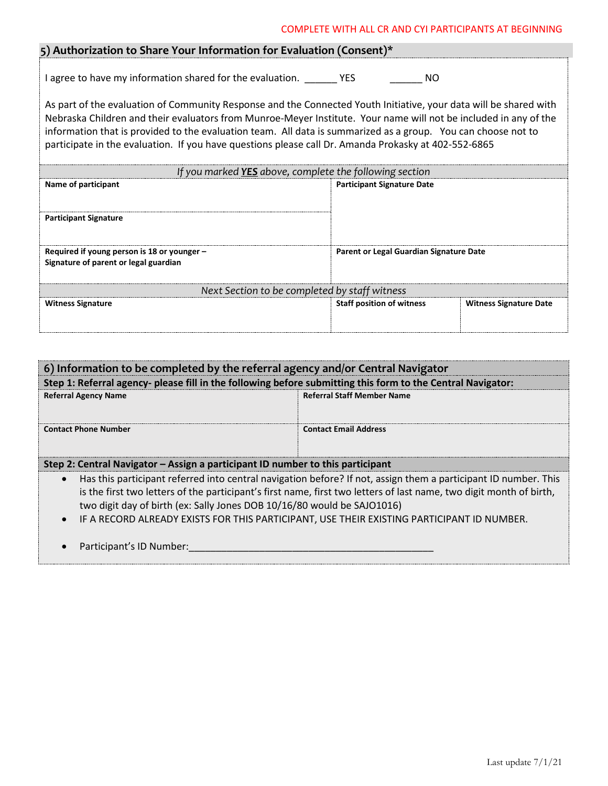#### COMPLETE WITH ALL CR AND CYI PARTICIPANTS AT BEGINNING

## **5) Authorization to Share Your Information for Evaluation (Consent)\***

I agree to have my information shared for the evaluation. \_\_\_\_\_\_\_ YES \_\_\_\_\_\_\_\_\_\_ NO

As part of the evaluation of Community Response and the Connected Youth Initiative, your data will be shared with Nebraska Children and their evaluators from Munroe-Meyer Institute. Your name will not be included in any of the information that is provided to the evaluation team. All data is summarized as a group. You can choose not to participate in the evaluation. If you have questions please call Dr. Amanda Prokasky at 402-552-6865

| If you marked YES above, complete the following section                              |                                                |                               |  |  |  |
|--------------------------------------------------------------------------------------|------------------------------------------------|-------------------------------|--|--|--|
| Name of participant                                                                  | <b>Participant Signature Date</b>              |                               |  |  |  |
| <b>Participant Signature</b>                                                         |                                                |                               |  |  |  |
| Required if young person is 18 or younger –<br>Signature of parent or legal guardian | <b>Parent or Legal Guardian Signature Date</b> |                               |  |  |  |
| Next Section to be completed by staff witness                                        |                                                |                               |  |  |  |
| <b>Witness Signature</b>                                                             | <b>Staff position of witness</b>               | <b>Witness Signature Date</b> |  |  |  |

| 6) Information to be completed by the referral agency and/or Central Navigator                              |                                   |  |  |  |
|-------------------------------------------------------------------------------------------------------------|-----------------------------------|--|--|--|
| Step 1: Referral agency- please fill in the following before submitting this form to the Central Navigator: |                                   |  |  |  |
| <b>Referral Agency Name</b>                                                                                 | <b>Referral Staff Member Name</b> |  |  |  |
| <b>Contact Phone Number</b>                                                                                 | <b>Contact Email Address</b>      |  |  |  |
| Step 2: Central Navigator - Assign a participant ID number to this participant                              |                                   |  |  |  |

- Has this participant referred into central navigation before? If not, assign them a participant ID number. This is the first two letters of the participant's first name, first two letters of last name, two digit month of birth, two digit day of birth (ex: Sally Jones DOB 10/16/80 would be SAJO1016)
- IF A RECORD ALREADY EXISTS FOR THIS PARTICIPANT, USE THEIR EXISTING PARTICIPANT ID NUMBER.
- Participant's ID Number: